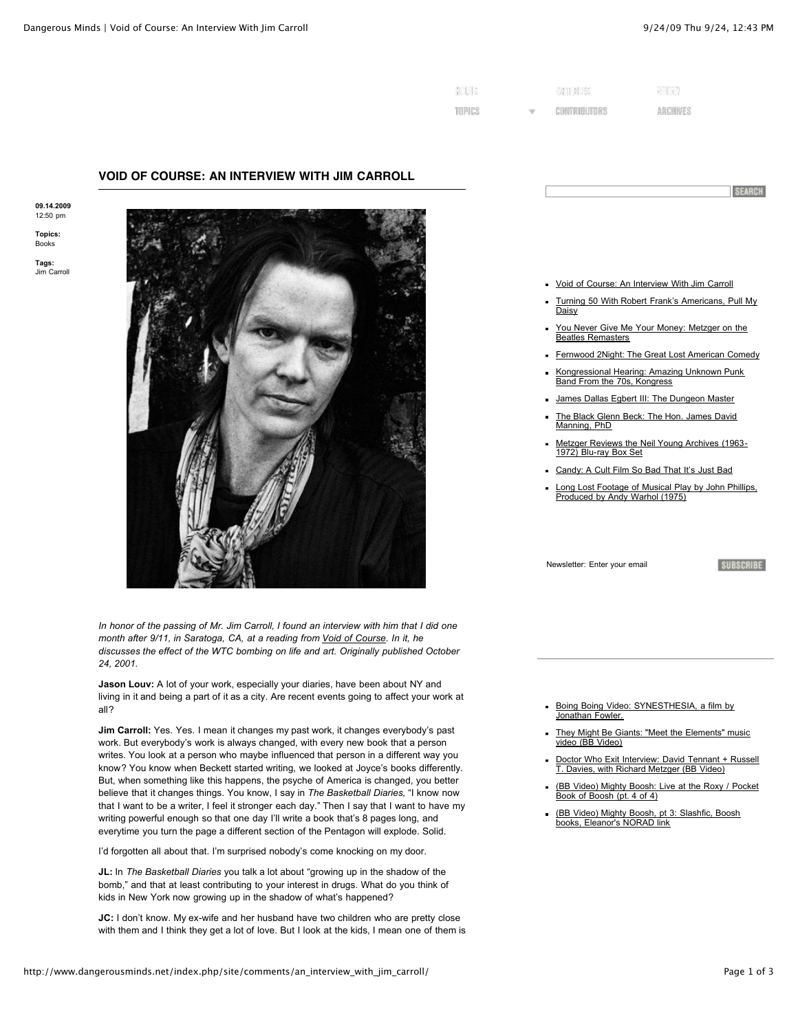**SEARCH** 

| MULIE  | ANGELIC CHI  | $-200$   |  |
|--------|--------------|----------|--|
| TOPICS | CONTRIBUTORS | ARCHIVES |  |

## **VOID OF COURSE: AN INTERVIEW WITH JIM CARROLL**

**09.14.2009** 12:50 pm

**Topics:** [Books](http://www.dangerousminds.net/index.php/C4/)

**Tags:** Jim Carrol



*In honor of the passing of Mr. Jim Carroll, I found an interview with him that I did one month after 9/11, in Saratoga, CA, at a reading from [Void of Course](http://www.amazon.com/Void-Course-Poets-Penguin-Carroll/dp/0140589090). In it, he discusses the effect of the WTC bombing on life and art. Originally published October 24, 2001.*

**Jason Louv:** A lot of your work, especially your diaries, have been about NY and living in it and being a part of it as a city. Are recent events going to affect your work at all?

**Jim Carroll:** Yes. Yes. I mean it changes my past work, it changes everybody's past work. But everybody's work is always changed, with every new book that a person writes. You look at a person who maybe influenced that person in a different way you know? You know when Beckett started writing, we looked at Joyce's books differently. But, when something like this happens, the psyche of America is changed, you better believe that it changes things. You know, I say in *The Basketball Diaries,* "I know now that I want to be a writer, I feel it stronger each day." Then I say that I want to have my writing powerful enough so that one day I'll write a book that's 8 pages long, and everytime you turn the page a different section of the Pentagon will explode. Solid.

I'd forgotten all about that. I'm surprised nobody's come knocking on my door.

**JL:** In *The Basketball Diaries* you talk a lot about "growing up in the shadow of the bomb," and that at least contributing to your interest in drugs. What do you think of kids in New York now growing up in the shadow of what's happened?

**JC:** I don't know. My ex-wife and her husband have two children who are pretty close with them and I think they get a lot of love. But I look at the kids, I mean one of them is



- [Turning 50 With Robert Frank's Americans, Pull My](http://www.dangerousminds.net/index.php/site/comments/turning_50_with_robert_franks_americans/) Daisy
- [You Never Give Me Your Money: Metzger on the](http://www.dangerousminds.net/index.php/site/comments/you_never_give_me_your_money_metzger_on_the_beatles_remasters/) Beatles Remasters
- [Fernwood 2Night: The Great Lost American Comedy](http://www.dangerousminds.net/index.php/site/comments/fernwood_2night_the_great_lost_american_comedy/)
- [Kongressional Hearing: Amazing Unknown Punk](http://www.dangerousminds.net/index.php/site/comments/kongressional_hearing_amazing_unknown_punk_band_from_the_70s_kongress/) Band From the 70s, Kongress
- [James Dallas Egbert III: The Dungeon Master](http://www.dangerousminds.net/index.php/site/comments/james_dallas_egbert_iii_the_dungeon_master/)
- [The Black Glenn Beck: The Hon. James David](http://www.dangerousminds.net/index.php/site/comments/the_black_glenn_beck_the_hon._james_david_manning_phd/) Manning, PhD
- [Metzger Reviews the Neil Young Archives \(1963-](http://www.dangerousminds.net/index.php/site/comments/metzger_reviews_the_neil_young_archives_1963-1972_blu-ray_box_set/) 1972) Blu-ray Box Set
- [Candy: A Cult Film So Bad That It's Just Bad](http://www.dangerousminds.net/index.php/site/comments/candy_a_cult_film_so_bad_that_its_just_bad/)
- [Long Lost Footage of Musical Play by John Phillips,](http://www.dangerousminds.net/index.php/site/comments/man_on_the_moon_exclusive_footage_of_musical_play_by_john_phillips_produced/) Produced by Andy Warhol (1975)

Newsletter: Enter your email

```
SUBSCRIBE
```
- [Boing Boing Video: SYNESTHESIA, a film by](http://www.boingboing.net/2009/09/22/boing-boing-video-sy.html) Jonathan Fowler.
- [They Might Be Giants: "Meet the Elements" music](http://www.boingboing.net/2009/09/08/they-might-be-giants-2.html) video (BB Video)
- [Doctor Who Exit Interview: David Tennant + Russell](http://www.boingboing.net/2009/08/24/doctor-who-exit-inte.html) T. Davies, with Richard Metzger (BB Video)
- [\(BB Video\) Mighty Boosh: Live at the Roxy / Pocket](http://www.boingboing.net/2009/08/19/bb-video-mighty-boos-2.html) Book of Boosh (pt. 4 of 4)
- [\(BB Video\) Mighty Boosh, pt 3: Slashfic, Boosh](http://www.boingboing.net/2009/08/17/bb-video-mighty-boos-1.html) books, Eleanor's NORAD link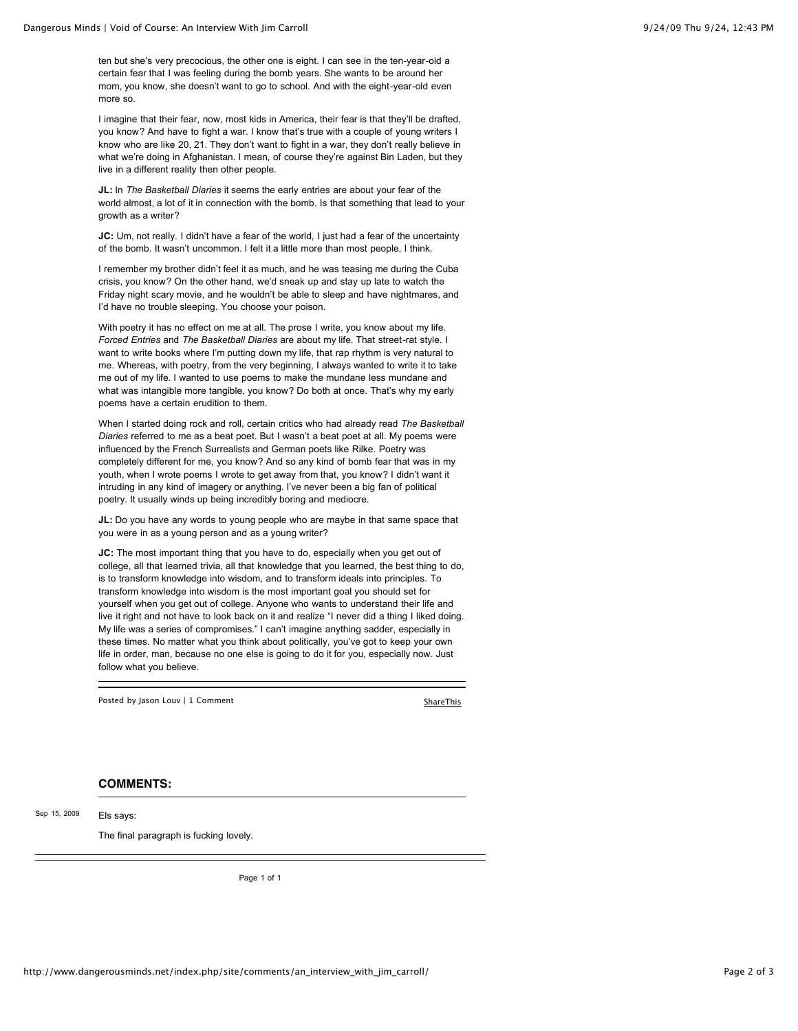ten but she's very precocious, the other one is eight. I can see in the ten-year-old a certain fear that I was feeling during the bomb years. She wants to be around her mom, you know, she doesn't want to go to school. And with the eight-year-old even more so.

I imagine that their fear, now, most kids in America, their fear is that they'll be drafted, you know? And have to fight a war. I know that's true with a couple of young writers I know who are like 20, 21. They don't want to fight in a war, they don't really believe in what we're doing in Afghanistan. I mean, of course they're against Bin Laden, but they live in a different reality then other people.

**JL:** In *The Basketball Diaries* it seems the early entries are about your fear of the world almost, a lot of it in connection with the bomb. Is that something that lead to your growth as a writer?

JC: Um, not really. I didn't have a fear of the world, I just had a fear of the uncertainty of the bomb. It wasn't uncommon. I felt it a little more than most people, I think.

I remember my brother didn't feel it as much, and he was teasing me during the Cuba crisis, you know? On the other hand, we'd sneak up and stay up late to watch the Friday night scary movie, and he wouldn't be able to sleep and have nightmares, and I'd have no trouble sleeping. You choose your poison.

With poetry it has no effect on me at all. The prose I write, you know about my life. *Forced Entries* and *The Basketball Diaries* are about my life. That street-rat style. I want to write books where I'm putting down my life, that rap rhythm is very natural to me. Whereas, with poetry, from the very beginning, I always wanted to write it to take me out of my life. I wanted to use poems to make the mundane less mundane and what was intangible more tangible, you know? Do both at once. That's why my early poems have a certain erudition to them.

When I started doing rock and roll, certain critics who had already read *The Basketball Diaries* referred to me as a beat poet. But I wasn't a beat poet at all. My poems were influenced by the French Surrealists and German poets like Rilke. Poetry was completely different for me, you know? And so any kind of bomb fear that was in my youth, when I wrote poems I wrote to get away from that, you know? I didn't want it intruding in any kind of imagery or anything. I've never been a big fan of political poetry. It usually winds up being incredibly boring and mediocre.

**JL:** Do you have any words to young people who are maybe in that same space that you were in as a young person and as a young writer?

**JC:** The most important thing that you have to do, especially when you get out of college, all that learned trivia, all that knowledge that you learned, the best thing to do, is to transform knowledge into wisdom, and to transform ideals into principles. To transform knowledge into wisdom is the most important goal you should set for yourself when you get out of college. Anyone who wants to understand their life and live it right and not have to look back on it and realize "I never did a thing I liked doing. My life was a series of compromises." I can't imagine anything sadder, especially in these times. No matter what you think about politically, you've got to keep your own life in order, man, because no one else is going to do it for you, especially now. Just follow what you believe.

Posted by Jason Louv | 1 Comment [ShareThis](javascript:void(0))

## **COMMENTS:**

Els says: Sep 15, 2009

The final paragraph is fucking lovely.

Page 1 of 1